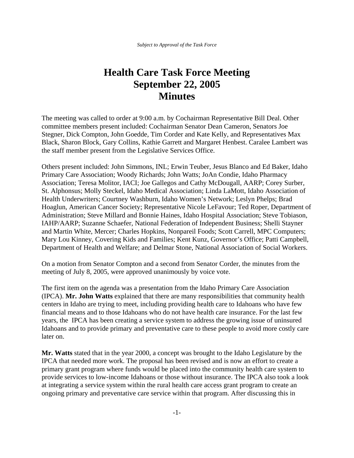## **Health Care Task Force Meeting September 22, 2005 Minutes**

The meeting was called to order at 9:00 a.m. by Cochairman Representative Bill Deal. Other committee members present included: Cochairman Senator Dean Cameron, Senators Joe Stegner, Dick Compton, John Goedde, Tim Corder and Kate Kelly, and Representatives Max Black, Sharon Block, Gary Collins, Kathie Garrett and Margaret Henbest. Caralee Lambert was the staff member present from the Legislative Services Office.

Others present included: John Simmons, INL; Erwin Teuber, Jesus Blanco and Ed Baker, Idaho Primary Care Association; Woody Richards; John Watts; JoAn Condie, Idaho Pharmacy Association; Teresa Molitor, IACI; Joe Gallegos and Cathy McDougall, AARP; Corey Surber, St. Alphonsus; Molly Steckel, Idaho Medical Association; Linda LaMott, Idaho Association of Health Underwriters; Courtney Washburn, Idaho Women's Network; Leslyn Phelps; Brad Hoaglun, American Cancer Society; Representative Nicole LeFavour; Ted Roper, Department of Administration; Steve Millard and Bonnie Haines, Idaho Hospital Association; Steve Tobiason, IAHP/AARP; Suzanne Schaefer, National Federation of Independent Business; Shelli Stayner and Martin White, Mercer; Charles Hopkins, Nonpareil Foods; Scott Carrell, MPC Computers; Mary Lou Kinney, Covering Kids and Families; Kent Kunz, Governor's Office; Patti Campbell, Department of Health and Welfare; and Delmar Stone, National Association of Social Workers.

On a motion from Senator Compton and a second from Senator Corder, the minutes from the meeting of July 8, 2005, were approved unanimously by voice vote.

The first item on the agenda was a presentation from the Idaho Primary Care Association (IPCA). **Mr. John Watts** explained that there are many responsibilities that community health centers in Idaho are trying to meet, including providing health care to Idahoans who have few financial means and to those Idahoans who do not have health care insurance. For the last few years, the IPCA has been creating a service system to address the growing issue of uninsured Idahoans and to provide primary and preventative care to these people to avoid more costly care later on.

**Mr. Watts** stated that in the year 2000, a concept was brought to the Idaho Legislature by the IPCA that needed more work. The proposal has been revised and is now an effort to create a primary grant program where funds would be placed into the community health care system to provide services to low-income Idahoans or those without insurance. The IPCA also took a look at integrating a service system within the rural health care access grant program to create an ongoing primary and preventative care service within that program. After discussing this in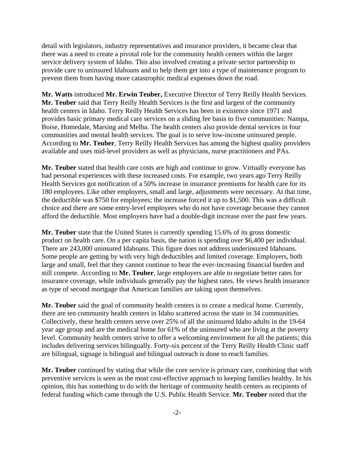detail with legislators, industry representatives and insurance providers, it became clear that there was a need to create a pivotal role for the community health centers within the larger service delivery system of Idaho. This also involved creating a private sector partnership to provide care to uninsured Idahoans and to help them get into a type of maintenance program to prevent them from having more catastrophic medical expenses down the road.

**Mr. Watts** introduced **Mr. Erwin Teuber,** Executive Director of Terry Reilly Health Services. **Mr. Teuber** said that Terry Reilly Health Services is the first and largest of the community health centers in Idaho. Terry Reilly Health Services has been in existence since 1971 and provides basic primary medical care services on a sliding fee basis to five communities: Nampa, Boise, Homedale, Marsing and Melba. The health centers also provide dental services in four communities and mental health services. The goal is to serve low-income uninsured people. According to **Mr. Teuber**, Terry Reilly Health Services has among the highest quality providers available and uses mid-level providers as well as physicians, nurse practitioners and PAs.

**Mr. Teuber** stated that health care costs are high and continue to grow. Virtually everyone has had personal experiences with these increased costs. For example, two years ago Terry Reilly Health Services got notification of a 50% increase in insurance premiums for health care for its 180 employees. Like other employers, small and large, adjustments were necessary. At that time, the deductible was \$750 for employees; the increase forced it up to \$1,500. This was a difficult choice and there are some entry-level employees who do not have coverage because they cannot afford the deductible. Most employers have had a double-digit increase over the past few years.

**Mr. Teuber** state that the United States is currently spending 15.6% of its gross domestic product on health care. On a per capita basis, the nation is spending over \$6,400 per individual. There are 243,000 uninsured Idahoans. This figure does not address underinsured Idahoans. Some people are getting by with very high deductibles and limited coverage. Employers, both large and small, feel that they cannot continue to bear the ever-increasing financial burden and still compete. According to **Mr. Teuber**, large employers are able to negotiate better rates for insurance coverage, while individuals generally pay the highest rates. He views health insurance as type of second mortgage that American families are taking upon themselves.

**Mr. Teuber** said the goal of community health centers is to create a medical home. Currently, there are ten community health centers in Idaho scattered across the state in 34 communities. Collectively, these health centers serve over 25% of all the uninsured Idaho adults in the 19-64 year age group and are the medical home for 61% of the uninsured who are living at the poverty level. Community health centers strive to offer a welcoming environment for all the patients; this includes delivering services bilingually. Forty-six percent of the Terry Reilly Health Clinic staff are bilingual, signage is bilingual and bilingual outreach is done to reach families.

**Mr. Teuber** continued by stating that while the core service is primary care, combining that with preventive services is seen as the most cost-effective approach to keeping families healthy. In his opinion, this has something to do with the heritage of community health centers as recipients of federal funding which came through the U.S. Public Health Service. **Mr. Teuber** noted that the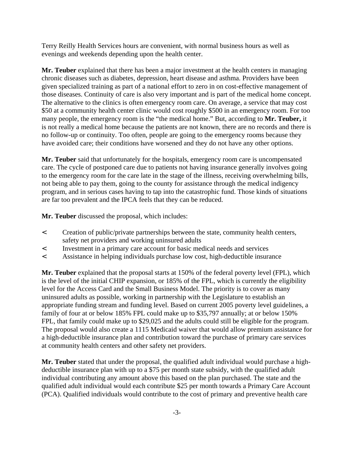Terry Reilly Health Services hours are convenient, with normal business hours as well as evenings and weekends depending upon the health center.

**Mr. Teuber** explained that there has been a major investment at the health centers in managing chronic diseases such as diabetes, depression, heart disease and asthma. Providers have been given specialized training as part of a national effort to zero in on cost-effective management of those diseases. Continuity of care is also very important and is part of the medical home concept. The alternative to the clinics is often emergency room care. On average, a service that may cost \$50 at a community health center clinic would cost roughly \$500 in an emergency room. For too many people, the emergency room is the "the medical home." But, according to **Mr. Teuber,** it is not really a medical home because the patients are not known, there are no records and there is no follow-up or continuity. Too often, people are going to the emergency rooms because they have avoided care; their conditions have worsened and they do not have any other options.

**Mr. Teuber** said that unfortunately for the hospitals, emergency room care is uncompensated care. The cycle of postponed care due to patients not having insurance generally involves going to the emergency room for the care late in the stage of the illness, receiving overwhelming bills, not being able to pay them, going to the county for assistance through the medical indigency program, and in serious cases having to tap into the catastrophic fund. Those kinds of situations are far too prevalent and the IPCA feels that they can be reduced.

**Mr. Teuber** discussed the proposal, which includes:

- < Creation of public/private partnerships between the state, community health centers, safety net providers and working uninsured adults
- < Investment in a primary care account for basic medical needs and services
- < Assistance in helping individuals purchase low cost, high-deductible insurance

**Mr. Teuber** explained that the proposal starts at 150% of the federal poverty level (FPL), which is the level of the initial CHIP expansion, or 185% of the FPL, which is currently the eligibility level for the Access Card and the Small Business Model. The priority is to cover as many uninsured adults as possible, working in partnership with the Legislature to establish an appropriate funding stream and funding level. Based on current 2005 poverty level guidelines, a family of four at or below 185% FPL could make up to \$35,797 annually; at or below 150% FPL, that family could make up to \$29,025 and the adults could still be eligible for the program. The proposal would also create a 1115 Medicaid waiver that would allow premium assistance for a high-deductible insurance plan and contribution toward the purchase of primary care services at community health centers and other safety net providers.

**Mr. Teuber** stated that under the proposal, the qualified adult individual would purchase a highdeductible insurance plan with up to a \$75 per month state subsidy, with the qualified adult individual contributing any amount above this based on the plan purchased. The state and the qualified adult individual would each contribute \$25 per month towards a Primary Care Account (PCA). Qualified individuals would contribute to the cost of primary and preventive health care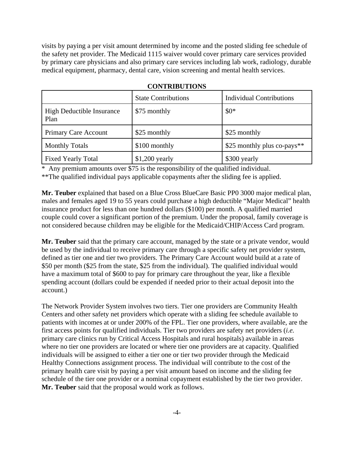visits by paying a per visit amount determined by income and the posted sliding fee schedule of the safety net provider. The Medicaid 1115 waiver would cover primary care services provided by primary care physicians and also primary care services including lab work, radiology, durable medical equipment, pharmacy, dental care, vision screening and mental health services.

|                                          | <b>State Contributions</b> | <b>Individual Contributions</b> |
|------------------------------------------|----------------------------|---------------------------------|
| <b>High Deductible Insurance</b><br>Plan | \$75 monthly               | $$0*$                           |
| Primary Care Account                     | \$25 monthly               | \$25 monthly                    |
| <b>Monthly Totals</b>                    | \$100 monthly              | \$25 monthly plus co-pays**     |
| <b>Fixed Yearly Total</b>                | $$1,200$ yearly            | \$300 yearly                    |

## **CONTRIBUTIONS**

\* Any premium amounts over \$75 is the responsibility of the qualified individual. \*\*The qualified individual pays applicable copayments after the sliding fee is applied.

**Mr. Teuber** explained that based on a Blue Cross BlueCare Basic PP0 3000 major medical plan, males and females aged 19 to 55 years could purchase a high deductible "Major Medical" health insurance product for less than one hundred dollars (\$100) per month. A qualified married couple could cover a significant portion of the premium. Under the proposal, family coverage is not considered because children may be eligible for the Medicaid/CHIP/Access Card program.

**Mr. Teuber** said that the primary care account, managed by the state or a private vendor, would be used by the individual to receive primary care through a specific safety net provider system, defined as tier one and tier two providers. The Primary Care Account would build at a rate of \$50 per month (\$25 from the state, \$25 from the individual). The qualified individual would have a maximum total of \$600 to pay for primary care throughout the year, like a flexible spending account (dollars could be expended if needed prior to their actual deposit into the account.)

The Network Provider System involves two tiers. Tier one providers are Community Health Centers and other safety net providers which operate with a sliding fee schedule available to patients with incomes at or under 200% of the FPL. Tier one providers, where available, are the first access points for qualified individuals. Tier two providers are safety net providers (*i.e.* primary care clinics run by Critical Access Hospitals and rural hospitals) available in areas where no tier one providers are located or where tier one providers are at capacity. Qualified individuals will be assigned to either a tier one or tier two provider through the Medicaid Healthy Connections assignment process. The individual will contribute to the cost of the primary health care visit by paying a per visit amount based on income and the sliding fee schedule of the tier one provider or a nominal copayment established by the tier two provider. **Mr. Teuber** said that the proposal would work as follows.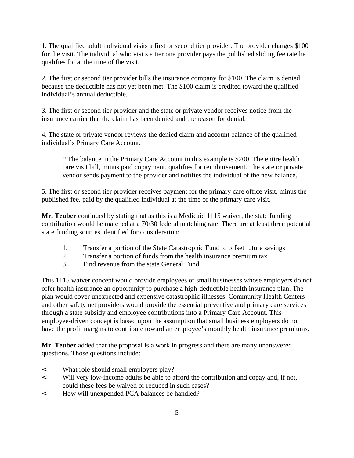1. The qualified adult individual visits a first or second tier provider. The provider charges \$100 for the visit. The individual who visits a tier one provider pays the published sliding fee rate he qualifies for at the time of the visit.

2. The first or second tier provider bills the insurance company for \$100. The claim is denied because the deductible has not yet been met. The \$100 claim is credited toward the qualified individual's annual deductible.

3. The first or second tier provider and the state or private vendor receives notice from the insurance carrier that the claim has been denied and the reason for denial.

4. The state or private vendor reviews the denied claim and account balance of the qualified individual's Primary Care Account.

\* The balance in the Primary Care Account in this example is \$200. The entire health care visit bill, minus paid copayment, qualifies for reimbursement. The state or private vendor sends payment to the provider and notifies the individual of the new balance.

5. The first or second tier provider receives payment for the primary care office visit, minus the published fee, paid by the qualified individual at the time of the primary care visit.

**Mr. Teuber** continued by stating that as this is a Medicaid 1115 waiver, the state funding contribution would be matched at a 70/30 federal matching rate. There are at least three potential state funding sources identified for consideration:

- 1. Transfer a portion of the State Catastrophic Fund to offset future savings
- 2. Transfer a portion of funds from the health insurance premium tax
- 3. Find revenue from the state General Fund.

This 1115 waiver concept would provide employees of small businesses whose employers do not offer health insurance an opportunity to purchase a high-deductible health insurance plan. The plan would cover unexpected and expensive catastrophic illnesses. Community Health Centers and other safety net providers would provide the essential preventive and primary care services through a state subsidy and employee contributions into a Primary Care Account. This employee-driven concept is based upon the assumption that small business employers do not have the profit margins to contribute toward an employee's monthly health insurance premiums.

**Mr. Teuber** added that the proposal is a work in progress and there are many unanswered questions. Those questions include:

- < What role should small employers play?
- < Will very low-income adults be able to afford the contribution and copay and, if not, could these fees be waived or reduced in such cases?
- < How will unexpended PCA balances be handled?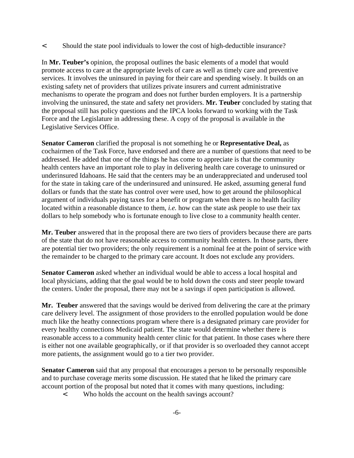< Should the state pool individuals to lower the cost of high-deductible insurance?

In **Mr. Teuber's** opinion, the proposal outlines the basic elements of a model that would promote access to care at the appropriate levels of care as well as timely care and preventive services. It involves the uninsured in paying for their care and spending wisely. It builds on an existing safety net of providers that utilizes private insurers and current administrative mechanisms to operate the program and does not further burden employers. It is a partnership involving the uninsured, the state and safety net providers. **Mr. Teuber** concluded by stating that the proposal still has policy questions and the IPCA looks forward to working with the Task Force and the Legislature in addressing these. A copy of the proposal is available in the Legislative Services Office.

**Senator Cameron** clarified the proposal is not something he or **Representative Deal,** as cochairmen of the Task Force, have endorsed and there are a number of questions that need to be addressed. He added that one of the things he has come to appreciate is that the community health centers have an important role to play in delivering health care coverage to uninsured or underinsured Idahoans. He said that the centers may be an underappreciated and underused tool for the state in taking care of the underinsured and uninsured. He asked, assuming general fund dollars or funds that the state has control over were used, how to get around the philosophical argument of individuals paying taxes for a benefit or program when there is no health facility located within a reasonable distance to them, *i.e.* how can the state ask people to use their tax dollars to help somebody who is fortunate enough to live close to a community health center.

**Mr. Teuber** answered that in the proposal there are two tiers of providers because there are parts of the state that do not have reasonable access to community health centers. In those parts, there are potential tier two providers; the only requirement is a nominal fee at the point of service with the remainder to be charged to the primary care account. It does not exclude any providers.

**Senator Cameron** asked whether an individual would be able to access a local hospital and local physicians, adding that the goal would be to hold down the costs and steer people toward the centers. Under the proposal, there may not be a savings if open participation is allowed.

**Mr. Teuber** answered that the savings would be derived from delivering the care at the primary care delivery level. The assignment of those providers to the enrolled population would be done much like the heathy connections program where there is a designated primary care provider for every healthy connections Medicaid patient. The state would determine whether there is reasonable access to a community health center clinic for that patient. In those cases where there is either not one available geographically, or if that provider is so overloaded they cannot accept more patients, the assignment would go to a tier two provider.

**Senator Cameron** said that any proposal that encourages a person to be personally responsible and to purchase coverage merits some discussion. He stated that he liked the primary care account portion of the proposal but noted that it comes with many questions, including:

< Who holds the account on the health savings account?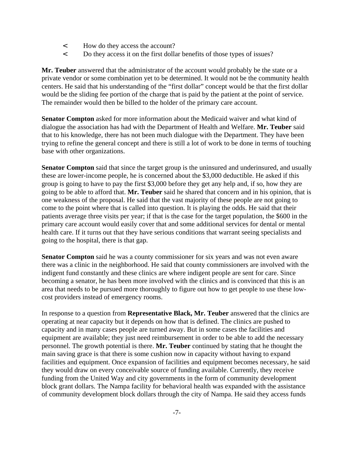- < How do they access the account?
- < Do they access it on the first dollar benefits of those types of issues?

**Mr. Teuber** answered that the administrator of the account would probably be the state or a private vendor or some combination yet to be determined. It would not be the community health centers. He said that his understanding of the "first dollar" concept would be that the first dollar would be the sliding fee portion of the charge that is paid by the patient at the point of service. The remainder would then be billed to the holder of the primary care account.

**Senator Compton** asked for more information about the Medicaid waiver and what kind of dialogue the association has had with the Department of Health and Welfare. **Mr. Teuber** said that to his knowledge, there has not been much dialogue with the Department. They have been trying to refine the general concept and there is still a lot of work to be done in terms of touching base with other organizations.

**Senator Compton** said that since the target group is the uninsured and underinsured, and usually these are lower-income people, he is concerned about the \$3,000 deductible. He asked if this group is going to have to pay the first \$3,000 before they get any help and, if so, how they are going to be able to afford that. **Mr. Teuber** said he shared that concern and in his opinion, that is one weakness of the proposal. He said that the vast majority of these people are not going to come to the point where that is called into question. It is playing the odds. He said that their patients average three visits per year; if that is the case for the target population, the \$600 in the primary care account would easily cover that and some additional services for dental or mental health care. If it turns out that they have serious conditions that warrant seeing specialists and going to the hospital, there is that gap.

**Senator Compton** said he was a county commissioner for six years and was not even aware there was a clinic in the neighborhood. He said that county commissioners are involved with the indigent fund constantly and these clinics are where indigent people are sent for care. Since becoming a senator, he has been more involved with the clinics and is convinced that this is an area that needs to be pursued more thoroughly to figure out how to get people to use these lowcost providers instead of emergency rooms.

In response to a question from **Representative Black, Mr. Teuber** answered that the clinics are operating at near capacity but it depends on how that is defined. The clinics are pushed to capacity and in many cases people are turned away. But in some cases the facilities and equipment are available; they just need reimbursement in order to be able to add the necessary personnel. The growth potential is there. **Mr. Teuber** continued by stating that he thought the main saving grace is that there is some cushion now in capacity without having to expand facilities and equipment. Once expansion of facilities and equipment becomes necessary, he said they would draw on every conceivable source of funding available. Currently, they receive funding from the United Way and city governments in the form of community development block grant dollars. The Nampa facility for behavioral health was expanded with the assistance of community development block dollars through the city of Nampa. He said they access funds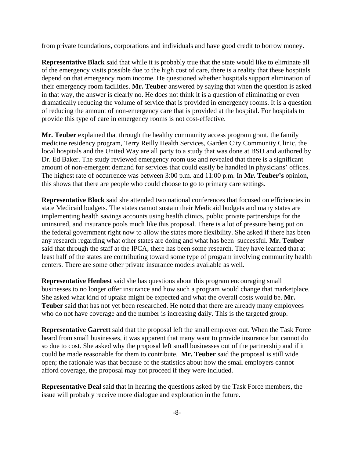from private foundations, corporations and individuals and have good credit to borrow money.

**Representative Black** said that while it is probably true that the state would like to eliminate all of the emergency visits possible due to the high cost of care, there is a reality that these hospitals depend on that emergency room income. He questioned whether hospitals support elimination of their emergency room facilities. **Mr. Teuber** answered by saying that when the question is asked in that way, the answer is clearly no. He does not think it is a question of eliminating or even dramatically reducing the volume of service that is provided in emergency rooms. It is a question of reducing the amount of non-emergency care that is provided at the hospital. For hospitals to provide this type of care in emergency rooms is not cost-effective.

**Mr. Teuber** explained that through the healthy community access program grant, the family medicine residency program, Terry Reilly Health Services, Garden City Community Clinic, the local hospitals and the United Way are all party to a study that was done at BSU and authored by Dr. Ed Baker. The study reviewed emergency room use and revealed that there is a significant amount of non-emergent demand for services that could easily be handled in physicians' offices. The highest rate of occurrence was between 3:00 p.m. and 11:00 p.m. In **Mr. Teuber's** opinion, this shows that there are people who could choose to go to primary care settings.

**Representative Block** said she attended two national conferences that focused on efficiencies in state Medicaid budgets. The states cannot sustain their Medicaid budgets and many states are implementing health savings accounts using health clinics, public private partnerships for the uninsured, and insurance pools much like this proposal. There is a lot of pressure being put on the federal government right now to allow the states more flexibility. She asked if there has been any research regarding what other states are doing and what has been successful. **Mr. Teuber** said that through the staff at the IPCA, there has been some research. They have learned that at least half of the states are contributing toward some type of program involving community health centers. There are some other private insurance models available as well.

**Representative Henbest** said she has questions about this program encouraging small businesses to no longer offer insurance and how such a program would change that marketplace. She asked what kind of uptake might be expected and what the overall costs would be. **Mr. Teuber** said that has not yet been researched. He noted that there are already many employees who do not have coverage and the number is increasing daily. This is the targeted group.

**Representative Garrett** said that the proposal left the small employer out. When the Task Force heard from small businesses, it was apparent that many want to provide insurance but cannot do so due to cost. She asked why the proposal left small businesses out of the partnership and if it could be made reasonable for them to contribute. **Mr. Teuber** said the proposal is still wide open; the rationale was that because of the statistics about how the small employers cannot afford coverage, the proposal may not proceed if they were included.

**Representative Deal** said that in hearing the questions asked by the Task Force members, the issue will probably receive more dialogue and exploration in the future.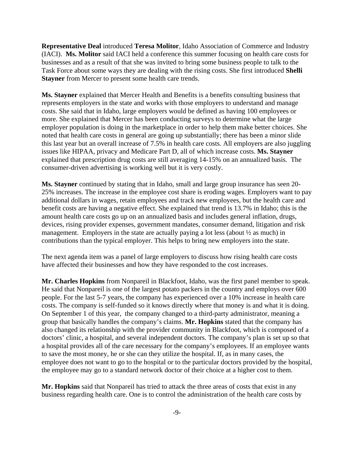**Representative Deal** introduced **Teresa Molitor**, Idaho Association of Commerce and Industry (IACI). **Ms. Molitor** said IACI held a conference this summer focusing on health care costs for businesses and as a result of that she was invited to bring some business people to talk to the Task Force about some ways they are dealing with the rising costs. She first introduced **Shelli Stayner** from Mercer to present some health care trends.

**Ms. Stayner** explained that Mercer Health and Benefits is a benefits consulting business that represents employers in the state and works with those employers to understand and manage costs. She said that in Idaho, large employers would be defined as having 100 employees or more. She explained that Mercer has been conducting surveys to determine what the large employer population is doing in the marketplace in order to help them make better choices. She noted that health care costs in general are going up substantially; there has been a minor slide this last year but an overall increase of 7.5% in health care costs. All employers are also juggling issues like HIPAA, privacy and Medicare Part D, all of which increase costs. **Ms. Stayner** explained that prescription drug costs are still averaging 14-15% on an annualized basis. The consumer-driven advertising is working well but it is very costly.

**Ms. Stayner** continued by stating that in Idaho, small and large group insurance has seen 20- 25% increases. The increase in the employee cost share is eroding wages. Employers want to pay additional dollars in wages, retain employees and track new employees, but the health care and benefit costs are having a negative effect. She explained that trend is 13.7% in Idaho; this is the amount health care costs go up on an annualized basis and includes general inflation, drugs, devices, rising provider expenses, government mandates, consumer demand, litigation and risk management. Employers in the state are actually paying a lot less (about ½ as much) in contributions than the typical employer. This helps to bring new employers into the state.

The next agenda item was a panel of large employers to discuss how rising health care costs have affected their businesses and how they have responded to the cost increases.

**Mr. Charles Hopkins** from Nonpareil in Blackfoot, Idaho, was the first panel member to speak. He said that Nonpareil is one of the largest potato packers in the country and employs over 600 people. For the last 5-7 years, the company has experienced over a 10% increase in health care costs. The company is self-funded so it knows directly where that money is and what it is doing. On September 1 of this year, the company changed to a third-party administrator, meaning a group that basically handles the company's claims. **Mr. Hopkins** stated that the company has also changed its relationship with the provider community in Blackfoot, which is composed of a doctors' clinic, a hospital, and several independent doctors. The company's plan is set up so that a hospital provides all of the care necessary for the company's employees. If an employee wants to save the most money, he or she can they utilize the hospital. If, as in many cases, the employee does not want to go to the hospital or to the particular doctors provided by the hospital, the employee may go to a standard network doctor of their choice at a higher cost to them.

**Mr. Hopkins** said that Nonpareil has tried to attack the three areas of costs that exist in any business regarding health care. One is to control the administration of the health care costs by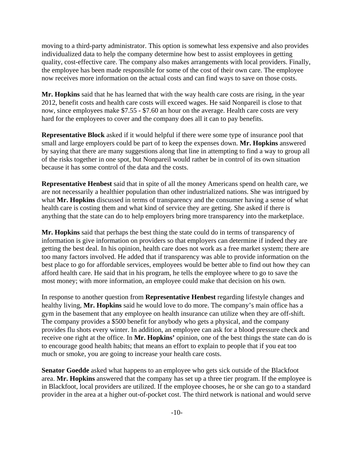moving to a third-party administrator. This option is somewhat less expensive and also provides individualized data to help the company determine how best to assist employees in getting quality, cost-effective care. The company also makes arrangements with local providers. Finally, the employee has been made responsible for some of the cost of their own care. The employee now receives more information on the actual costs and can find ways to save on those costs.

**Mr. Hopkins** said that he has learned that with the way health care costs are rising, in the year 2012, benefit costs and health care costs will exceed wages. He said Nonpareil is close to that now, since employees make \$7.55 - \$7.60 an hour on the average. Health care costs are very hard for the employees to cover and the company does all it can to pay benefits.

**Representative Block** asked if it would helpful if there were some type of insurance pool that small and large employers could be part of to keep the expenses down. **Mr. Hopkins** answered by saying that there are many suggestions along that line in attempting to find a way to group all of the risks together in one spot, but Nonpareil would rather be in control of its own situation because it has some control of the data and the costs.

**Representative Henbest** said that in spite of all the money Americans spend on health care, we are not necessarily a healthier population than other industrialized nations. She was intrigued by what **Mr. Hopkins** discussed in terms of transparency and the consumer having a sense of what health care is costing them and what kind of service they are getting. She asked if there is anything that the state can do to help employers bring more transparency into the marketplace.

**Mr. Hopkins** said that perhaps the best thing the state could do in terms of transparency of information is give information on providers so that employers can determine if indeed they are getting the best deal. In his opinion, health care does not work as a free market system; there are too many factors involved. He added that if transparency was able to provide information on the best place to go for affordable services, employees would be better able to find out how they can afford health care. He said that in his program, he tells the employee where to go to save the most money; with more information, an employee could make that decision on his own.

In response to another question from **Representative Henbest** regarding lifestyle changes and healthy living, **Mr. Hopkins** said he would love to do more. The company's main office has a gym in the basement that any employee on health insurance can utilize when they are off-shift. The company provides a \$500 benefit for anybody who gets a physical, and the company provides flu shots every winter. In addition, an employee can ask for a blood pressure check and receive one right at the office. In **Mr. Hopkins'** opinion, one of the best things the state can do is to encourage good health habits; that means an effort to explain to people that if you eat too much or smoke, you are going to increase your health care costs.

**Senator Goedde** asked what happens to an employee who gets sick outside of the Blackfoot area. **Mr. Hopkins** answered that the company has set up a three tier program. If the employee is in Blackfoot, local providers are utilized. If the employee chooses, he or she can go to a standard provider in the area at a higher out-of-pocket cost. The third network is national and would serve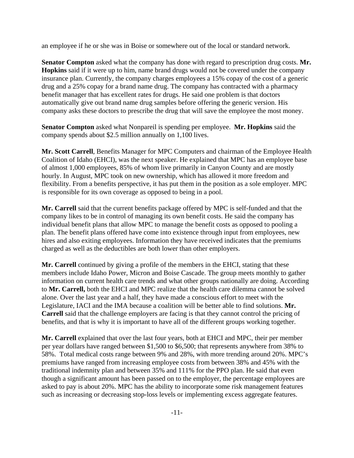an employee if he or she was in Boise or somewhere out of the local or standard network.

**Senator Compton** asked what the company has done with regard to prescription drug costs. **Mr. Hopkins** said if it were up to him, name brand drugs would not be covered under the company insurance plan. Currently, the company charges employees a 15% copay of the cost of a generic drug and a 25% copay for a brand name drug. The company has contracted with a pharmacy benefit manager that has excellent rates for drugs. He said one problem is that doctors automatically give out brand name drug samples before offering the generic version. His company asks these doctors to prescribe the drug that will save the employee the most money.

**Senator Compton** asked what Nonpareil is spending per employee. **Mr. Hopkins** said the company spends about \$2.5 million annually on 1,100 lives.

**Mr. Scott Carrell**, Benefits Manager for MPC Computers and chairman of the Employee Health Coalition of Idaho (EHCI), was the next speaker. He explained that MPC has an employee base of almost 1,000 employees, 85% of whom live primarily in Canyon County and are mostly hourly. In August, MPC took on new ownership, which has allowed it more freedom and flexibility. From a benefits perspective, it has put them in the position as a sole employer. MPC is responsible for its own coverage as opposed to being in a pool.

**Mr. Carrell** said that the current benefits package offered by MPC is self-funded and that the company likes to be in control of managing its own benefit costs. He said the company has individual benefit plans that allow MPC to manage the benefit costs as opposed to pooling a plan. The benefit plans offered have come into existence through input from employees, new hires and also exiting employees. Information they have received indicates that the premiums charged as well as the deductibles are both lower than other employers.

**Mr. Carrell** continued by giving a profile of the members in the EHCI, stating that these members include Idaho Power, Micron and Boise Cascade. The group meets monthly to gather information on current health care trends and what other groups nationally are doing. According to **Mr. Carrell,** both the EHCI and MPC realize that the health care dilemma cannot be solved alone. Over the last year and a half, they have made a conscious effort to meet with the Legislature, IACI and the IMA because a coalition will be better able to find solutions. **Mr. Carrell** said that the challenge employers are facing is that they cannot control the pricing of benefits, and that is why it is important to have all of the different groups working together.

**Mr. Carrell** explained that over the last four years, both at EHCI and MPC, their per member per year dollars have ranged between \$1,500 to \$6,500; that represents anywhere from 38% to 58%. Total medical costs range between 9% and 28%, with more trending around 20%. MPC's premiums have ranged from increasing employee costs from between 38% and 45% with the traditional indemnity plan and between 35% and 111% for the PPO plan. He said that even though a significant amount has been passed on to the employer, the percentage employees are asked to pay is about 20%. MPC has the ability to incorporate some risk management features such as increasing or decreasing stop-loss levels or implementing excess aggregate features.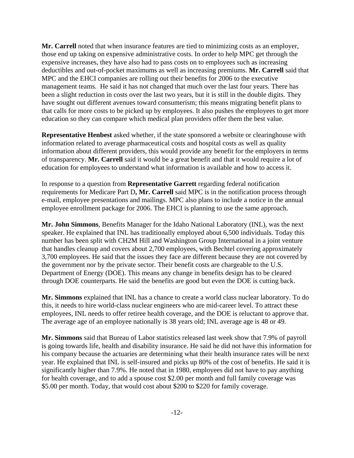**Mr. Carrell** noted that when insurance features are tied to minimizing costs as an employer, those end up taking on expensive administrative costs. In order to help MPC get through the expensive increases, they have also had to pass costs on to employees such as increasing deductibles and out-of-pocket maximums as well as increasing premiums. **Mr. Carrell** said that MPC and the EHCI companies are rolling out their benefits for 2006 to the executive management teams. He said it has not changed that much over the last four years. There has been a slight reduction in costs over the last two years, but it is still in the double digits. They have sought out different avenues toward consumerism; this means migrating benefit plans to that calls for more costs to be picked up by employees. It also pushes the employees to get more education so they can compare which medical plan providers offer them the best value.

**Representative Henbest** asked whether, if the state sponsored a website or clearinghouse with information related to average pharmaceutical costs and hospital costs as well as quality information about different providers, this would provide any benefit for the employers in terms of transparency. **Mr. Carrell** said it would be a great benefit and that it would require a lot of education for employees to understand what information is available and how to access it.

In response to a question from **Representative Garrett** regarding federal notification requirements for Medicare Part D**, Mr. Carrell** said MPC is in the notification process through e-mail, employee presentations and mailings. MPC also plans to include a notice in the annual employee enrollment package for 2006. The EHCI is planning to use the same approach.

**Mr. John Simmons**, Benefits Manager for the Idaho National Laboratory (INL), was the next speaker. He explained that INL has traditionally employed about 6,500 individuals. Today this number has been split with CH2M Hill and Washington Group International in a joint venture that handles cleanup and covers about 2,700 employees, with Bechtel covering approximately 3,700 employees. He said that the issues they face are different because they are not covered by the government nor by the private sector. Their benefit costs are chargeable to the U.S. Department of Energy (DOE). This means any change in benefits design has to be cleared through DOE counterparts. He said the benefits are good but even the DOE is cutting back.

**Mr. Simmons** explained that INL has a chance to create a world class nuclear laboratory. To do this, it needs to hire world-class nuclear engineers who are mid-career level. To attract these employees, INL needs to offer retiree health coverage, and the DOE is reluctant to approve that. The average age of an employee nationally is 38 years old; INL average age is 48 or 49.

**Mr. Simmons** said that Bureau of Labor statistics released last week show that 7.9% of payroll is going towards life, health and disability insurance. He said he did not have this information for his company because the actuaries are determining what their health insurance rates will be next year. He explained that INL is self-insured and picks up 80% of the cost of benefits. He said it is significantly higher than 7.9%. He noted that in 1980, employees did not have to pay anything for health coverage, and to add a spouse cost \$2.00 per month and full family coverage was \$5.00 per month. Today, that would cost about \$200 to \$220 for family coverage.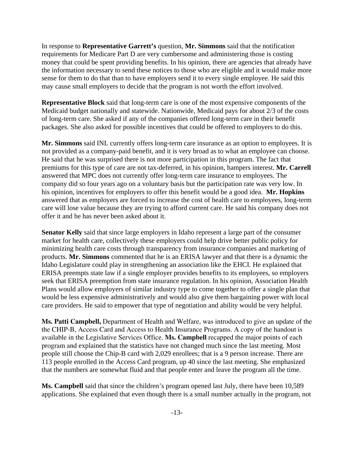In response to **Representative Garrett's** question, **Mr. Simmons** said that the notification requirements for Medicare Part D are very cumbersome and administering those is costing money that could be spent providing benefits. In his opinion, there are agencies that already have the information necessary to send these notices to those who are eligible and it would make more sense for them to do that than to have employers send it to every single employee. He said this may cause small employers to decide that the program is not worth the effort involved.

**Representative Block** said that long-term care is one of the most expensive components of the Medicaid budget nationally and statewide. Nationwide, Medicaid pays for about 2/3 of the costs of long-term care. She asked if any of the companies offered long-term care in their benefit packages. She also asked for possible incentives that could be offered to employers to do this.

**Mr. Simmons** said INL currently offers long-term care insurance as an option to employees. It is not provided as a company-paid benefit, and it is very broad as to what an employee can choose. He said that he was surprised there is not more participation in this program. The fact that premiums for this type of care are not tax-deferred, in his opinion, hampers interest. **Mr. Carrell** answered that MPC does not currently offer long-term care insurance to employees. The company did so four years ago on a voluntary basis but the participation rate was very low. In his opinion, incentives for employers to offer this benefit would be a good idea. **Mr. Hopkins** answered that as employers are forced to increase the cost of health care to employees, long-term care will lose value because they are trying to afford current care. He said his company does not offer it and he has never been asked about it.

**Senator Kelly** said that since large employers in Idaho represent a large part of the consumer market for health care, collectively these employers could help drive better public policy for minimizing health care costs through transparency from insurance companies and marketing of products. **Mr. Simmons** commented that he is an ERISA lawyer and that there is a dynamic the Idaho Legislature could play in strengthening an association like the EHCI. He explained that ERISA preempts state law if a single employer provides benefits to its employees, so employers seek that ERISA preemption from state insurance regulation. In his opinion, Association Health Plans would allow employers of similar industry type to come together to offer a single plan that would be less expensive administratively and would also give them bargaining power with local care providers. He said to empower that type of negotiation and ability would be very helpful.

**Ms. Patti Campbell,** Department of Health and Welfare, was introduced to give an update of the the CHIP-B, Access Card and Access to Health Insurance Programs. A copy of the handout is available in the Legislative Services Office. **Ms. Campbell** recapped the major points of each program and explained that the statistics have not changed much since the last meeting. Most people still choose the Chip-B card with 2,029 enrollees; that is a 9 person increase. There are 113 people enrolled in the Access Card program, up 40 since the last meeting. She emphasized that the numbers are somewhat fluid and that people enter and leave the program all the time.

**Ms. Campbell** said that since the children's program opened last July, there have been 10,589 applications. She explained that even though there is a small number actually in the program, not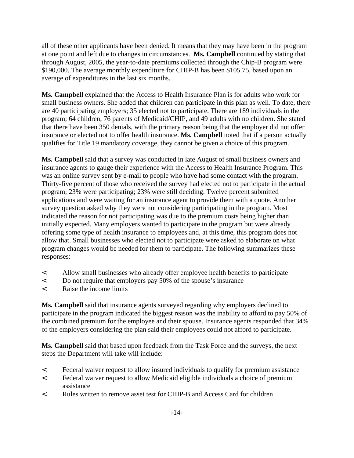all of these other applicants have been denied. It means that they may have been in the program at one point and left due to changes in circumstances. **Ms. Campbell** continued by stating that through August, 2005, the year-to-date premiums collected through the Chip-B program were \$190,000. The average monthly expenditure for CHIP-B has been \$105.75, based upon an average of expenditures in the last six months.

**Ms. Campbell** explained that the Access to Health Insurance Plan is for adults who work for small business owners. She added that children can participate in this plan as well. To date, there are 40 participating employers; 35 elected not to participate. There are 189 individuals in the program; 64 children, 76 parents of Medicaid/CHIP, and 49 adults with no children. She stated that there have been 350 denials, with the primary reason being that the employer did not offer insurance or elected not to offer health insurance. **Ms. Campbell** noted that if a person actually qualifies for Title 19 mandatory coverage, they cannot be given a choice of this program.

**Ms. Campbell** said that a survey was conducted in late August of small business owners and insurance agents to gauge their experience with the Access to Health Insurance Program. This was an online survey sent by e-mail to people who have had some contact with the program. Thirty-five percent of those who received the survey had elected not to participate in the actual program; 23% were participating; 23% were still deciding. Twelve percent submitted applications and were waiting for an insurance agent to provide them with a quote. Another survey question asked why they were not considering participating in the program. Most indicated the reason for not participating was due to the premium costs being higher than initially expected. Many employers wanted to participate in the program but were already offering some type of health insurance to employees and, at this time, this program does not allow that. Small businesses who elected not to participate were asked to elaborate on what program changes would be needed for them to participate. The following summarizes these responses:

- < Allow small businesses who already offer employee health benefits to participate
- < Do not require that employers pay 50% of the spouse's insurance
- < Raise the income limits

**Ms. Campbell** said that insurance agents surveyed regarding why employers declined to participate in the program indicated the biggest reason was the inability to afford to pay 50% of the combined premium for the employee and their spouse. Insurance agents responded that 34% of the employers considering the plan said their employees could not afford to participate.

**Ms. Campbell** said that based upon feedback from the Task Force and the surveys, the next steps the Department will take will include:

- < Federal waiver request to allow insured individuals to qualify for premium assistance
- < Federal waiver request to allow Medicaid eligible individuals a choice of premium assistance
- < Rules written to remove asset test for CHIP-B and Access Card for children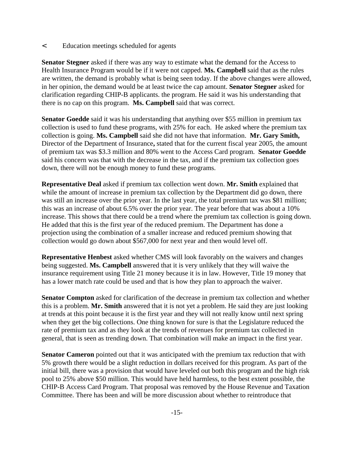< Education meetings scheduled for agents

**Senator Stegner** asked if there was any way to estimate what the demand for the Access to Health Insurance Program would be if it were not capped. **Ms. Campbell** said that as the rules are written, the demand is probably what is being seen today. If the above changes were allowed, in her opinion, the demand would be at least twice the cap amount. **Senator Stegner** asked for clarification regarding CHIP-B applicants. the program. He said it was his understanding that there is no cap on this program. **Ms. Campbell** said that was correct.

**Senator Goedde** said it was his understanding that anything over \$55 million in premium tax collection is used to fund these programs, with 25% for each. He asked where the premium tax collection is going. **Ms. Campbell** said she did not have that information. **Mr. Gary Smith,** Director of the Department of Insurance**,** stated that for the current fiscal year 2005, the amount of premium tax was \$3.3 million and 80% went to the Access Card program. **Senator Goedde** said his concern was that with the decrease in the tax, and if the premium tax collection goes down, there will not be enough money to fund these programs.

**Representative Deal** asked if premium tax collection went down. **Mr. Smith** explained that while the amount of increase in premium tax collection by the Department did go down, there was still an increase over the prior year. In the last year, the total premium tax was \$81 million; this was an increase of about 6.5% over the prior year. The year before that was about a 10% increase. This shows that there could be a trend where the premium tax collection is going down. He added that this is the first year of the reduced premium. The Department has done a projection using the combination of a smaller increase and reduced premium showing that collection would go down about \$567,000 for next year and then would level off.

**Representative Henbest** asked whether CMS will look favorably on the waivers and changes being suggested. **Ms. Campbell** answered that it is very unlikely that they will waive the insurance requirement using Title 21 money because it is in law. However, Title 19 money that has a lower match rate could be used and that is how they plan to approach the waiver.

**Senator Compton** asked for clarification of the decrease in premium tax collection and whether this is a problem. **Mr. Smith** answered that it is not yet a problem. He said they are just looking at trends at this point because it is the first year and they will not really know until next spring when they get the big collections. One thing known for sure is that the Legislature reduced the rate of premium tax and as they look at the trends of revenues for premium tax collected in general, that is seen as trending down. That combination will make an impact in the first year.

**Senator Cameron** pointed out that it was anticipated with the premium tax reduction that with 5% growth there would be a slight reduction in dollars received for this program. As part of the initial bill, there was a provision that would have leveled out both this program and the high risk pool to 25% above \$50 million. This would have held harmless, to the best extent possible, the CHIP-B Access Card Program. That proposal was removed by the House Revenue and Taxation Committee. There has been and will be more discussion about whether to reintroduce that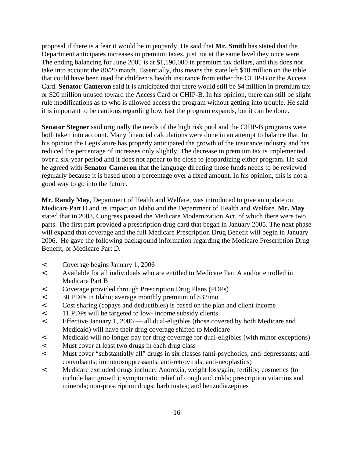proposal if there is a fear it would be in jeopardy. He said that **Mr. Smith** has stated that the Department anticipates increases in premium taxes, just not at the same level they once were. The ending balancing for June 2005 is at \$1,190,000 in premium tax dollars, and this does not take into account the 80/20 match. Essentially, this means the state left \$10 million on the table that could have been used for children's health insurance from either the CHIP-B or the Access Card. **Senator Cameron** said it is anticipated that there would still be \$4 million in premium tax or \$20 million unused toward the Access Card or CHIP-B. In his opinion, there can still be slight rule modifications as to who is allowed access the program without getting into trouble. He said it is important to be cautious regarding how fast the program expands, but it can be done.

**Senator Stegner** said originally the needs of the high risk pool and the CHIP-B programs were both taken into account. Many financial calculations were done in an attempt to balance that. In his opinion the Legislature has properly anticipated the growth of the insurance industry and has reduced the percentage of increases only slightly. The decrease in premium tax is implemented over a six-year period and it does not appear to be close to jeopardizing either program. He said he agreed with **Senator Cameron** that the language directing those funds needs to be reviewed regularly because it is based upon a percentage over a fixed amount. In his opinion, this is not a good way to go into the future.

**Mr. Randy May**, Department of Health and Welfare, was introduced to give an update on Medicare Part D and its impact on Idaho and the Department of Health and Welfare. **Mr. May** stated that in 2003, Congress passed the Medicare Modernization Act, of which there were two parts. The first part provided a prescription drug card that began in January 2005. The next phase will expand that coverage and the full Medicare Prescription Drug Benefit will begin in January 2006. He gave the following background information regarding the Medicare Prescription Drug Benefit, or Medicare Part D.

- < Coverage begins January 1, 2006
- < Available for all individuals who are entitled to Medicare Part A and/or enrolled in Medicare Part B
- < Coverage provided through Prescription Drug Plans (PDPs)
- < 30 PDPs in Idaho; average monthly premium of \$32/mo
- < Cost sharing (copays and deductibles) is based on the plan and client income
- < 11 PDPs will be targeted to low- income subsidy clients
- < Effective January 1, 2006 all dual-eligibles (those covered by both Medicare and Medicaid) will have their drug coverage shifted to Medicare
- < Medicaid will no longer pay for drug coverage for dual-eligibles (with minor exceptions)
- < Must cover at least two drugs in each drug class
- < Must cover "substantially all" drugs in six classes (anti-psychotics; anti-depressants; anticonvulsants; immunosuppressants; anti-retrovirals; anti-neoplastics)
- < Medicare excluded drugs include: Anorexia, weight loss/gain; fertility; cosmetics (to include hair growth); symptomatic relief of cough and colds; prescription vitamins and minerals; non-prescription drugs; barbituates; and benzodiazepines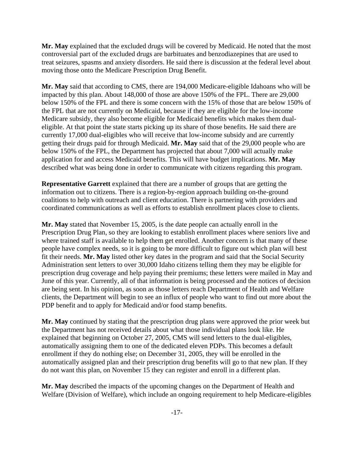**Mr. May** explained that the excluded drugs will be covered by Medicaid. He noted that the most controversial part of the excluded drugs are barbituates and benzodiazepines that are used to treat seizures, spasms and anxiety disorders. He said there is discussion at the federal level about moving those onto the Medicare Prescription Drug Benefit.

**Mr. May** said that according to CMS, there are 194,000 Medicare-eligible Idahoans who will be impacted by this plan. About 148,000 of those are above 150% of the FPL. There are 29,000 below 150% of the FPL and there is some concern with the 15% of those that are below 150% of the FPL that are not currently on Medicaid, because if they are eligible for the low-income Medicare subsidy, they also become eligible for Medicaid benefits which makes them dualeligible. At that point the state starts picking up its share of those benefits. He said there are currently 17,000 dual-eligibles who will receive that low-income subsidy and are currently getting their drugs paid for through Medicaid. **Mr. May** said that of the 29,000 people who are below 150% of the FPL, the Department has projected that about 7,000 will actually make application for and access Medicaid benefits. This will have budget implications. **Mr. May** described what was being done in order to communicate with citizens regarding this program.

**Representative Garrett** explained that there are a number of groups that are getting the information out to citizens. There is a region-by-region approach building on-the-ground coalitions to help with outreach and client education. There is partnering with providers and coordinated communications as well as efforts to establish enrollment places close to clients.

**Mr. May** stated that November 15, 2005, is the date people can actually enroll in the Prescription Drug Plan, so they are looking to establish enrollment places where seniors live and where trained staff is available to help them get enrolled. Another concern is that many of these people have complex needs, so it is going to be more difficult to figure out which plan will best fit their needs. **Mr. May** listed other key dates in the program and said that the Social Security Administration sent letters to over 30,000 Idaho citizens telling them they may be eligible for prescription drug coverage and help paying their premiums; these letters were mailed in May and June of this year. Currently, all of that information is being processed and the notices of decision are being sent. In his opinion, as soon as those letters reach Department of Health and Welfare clients, the Department will begin to see an influx of people who want to find out more about the PDP benefit and to apply for Medicaid and/or food stamp benefits.

**Mr. May** continued by stating that the prescription drug plans were approved the prior week but the Department has not received details about what those individual plans look like. He explained that beginning on October 27, 2005, CMS will send letters to the dual-eligibles, automatically assigning them to one of the dedicated eleven PDPs. This becomes a default enrollment if they do nothing else; on December 31, 2005, they will be enrolled in the automatically assigned plan and their prescription drug benefits will go to that new plan. If they do not want this plan, on November 15 they can register and enroll in a different plan.

**Mr. May** described the impacts of the upcoming changes on the Department of Health and Welfare (Division of Welfare), which include an ongoing requirement to help Medicare-eligibles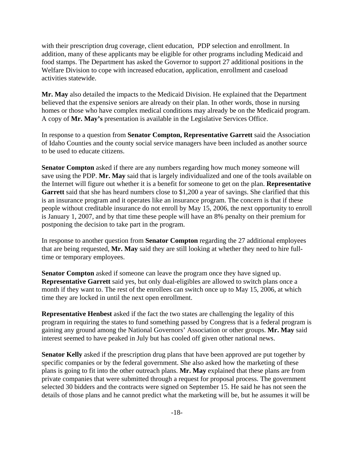with their prescription drug coverage, client education, PDP selection and enrollment. In addition, many of these applicants may be eligible for other programs including Medicaid and food stamps. The Department has asked the Governor to support 27 additional positions in the Welfare Division to cope with increased education, application, enrollment and caseload activities statewide.

**Mr. May** also detailed the impacts to the Medicaid Division. He explained that the Department believed that the expensive seniors are already on their plan. In other words, those in nursing homes or those who have complex medical conditions may already be on the Medicaid program. A copy of **Mr. May's** presentation is available in the Legislative Services Office.

In response to a question from **Senator Compton, Representative Garrett** said the Association of Idaho Counties and the county social service managers have been included as another source to be used to educate citizens.

**Senator Compton** asked if there are any numbers regarding how much money someone will save using the PDP. **Mr. May** said that is largely individualized and one of the tools available on the Internet will figure out whether it is a benefit for someone to get on the plan. **Representative** Garrett said that she has heard numbers close to \$1,200 a year of savings. She clarified that this is an insurance program and it operates like an insurance program. The concern is that if these people without creditable insurance do not enroll by May 15, 2006, the next opportunity to enroll is January 1, 2007, and by that time these people will have an 8% penalty on their premium for postponing the decision to take part in the program.

In response to another question from **Senator Compton** regarding the 27 additional employees that are being requested, **Mr. May** said they are still looking at whether they need to hire fulltime or temporary employees.

**Senator Compton** asked if someone can leave the program once they have signed up. **Representative Garrett** said yes, but only dual-eligibles are allowed to switch plans once a month if they want to. The rest of the enrollees can switch once up to May 15, 2006, at which time they are locked in until the next open enrollment.

**Representative Henbest** asked if the fact the two states are challenging the legality of this program in requiring the states to fund something passed by Congress that is a federal program is gaining any ground among the National Governors' Association or other groups. **Mr. May** said interest seemed to have peaked in July but has cooled off given other national news.

**Senator Kelly** asked if the prescription drug plans that have been approved are put together by specific companies or by the federal government. She also asked how the marketing of these plans is going to fit into the other outreach plans. **Mr. May** explained that these plans are from private companies that were submitted through a request for proposal process. The government selected 30 bidders and the contracts were signed on September 15. He said he has not seen the details of those plans and he cannot predict what the marketing will be, but he assumes it will be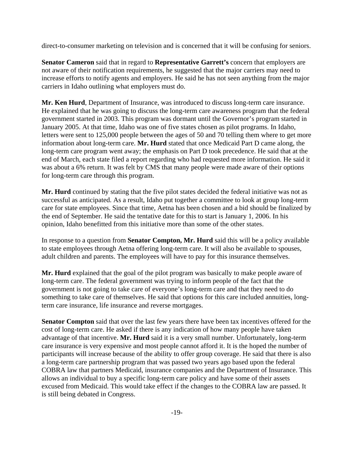direct-to-consumer marketing on television and is concerned that it will be confusing for seniors.

**Senator Cameron** said that in regard to **Representative Garrett's** concern that employers are not aware of their notification requirements, he suggested that the major carriers may need to increase efforts to notify agents and employers. He said he has not seen anything from the major carriers in Idaho outlining what employers must do.

**Mr. Ken Hurd**, Department of Insurance, was introduced to discuss long-term care insurance. He explained that he was going to discuss the long-term care awareness program that the federal government started in 2003. This program was dormant until the Governor's program started in January 2005. At that time, Idaho was one of five states chosen as pilot programs. In Idaho, letters were sent to 125,000 people between the ages of 50 and 70 telling them where to get more information about long-term care. **Mr. Hurd** stated that once Medicaid Part D came along, the long-term care program went away; the emphasis on Part D took precedence. He said that at the end of March, each state filed a report regarding who had requested more information. He said it was about a 6% return. It was felt by CMS that many people were made aware of their options for long-term care through this program.

**Mr. Hurd** continued by stating that the five pilot states decided the federal initiative was not as successful as anticipated. As a result, Idaho put together a committee to look at group long-term care for state employees. Since that time, Aetna has been chosen and a bid should be finalized by the end of September. He said the tentative date for this to start is January 1, 2006. In his opinion, Idaho benefitted from this initiative more than some of the other states.

In response to a question from **Senator Compton, Mr. Hurd** said this will be a policy available to state employees through Aetna offering long-term care. It will also be available to spouses, adult children and parents. The employees will have to pay for this insurance themselves.

**Mr. Hurd** explained that the goal of the pilot program was basically to make people aware of long-term care. The federal government was trying to inform people of the fact that the government is not going to take care of everyone's long-term care and that they need to do something to take care of themselves. He said that options for this care included annuities, longterm care insurance, life insurance and reverse mortgages.

**Senator Compton** said that over the last few years there have been tax incentives offered for the cost of long-term care. He asked if there is any indication of how many people have taken advantage of that incentive. **Mr. Hurd** said it is a very small number. Unfortunately, long-term care insurance is very expensive and most people cannot afford it. It is the hoped the number of participants will increase because of the ability to offer group coverage. He said that there is also a long-term care partnership program that was passed two years ago based upon the federal COBRA law that partners Medicaid, insurance companies and the Department of Insurance. This allows an individual to buy a specific long-term care policy and have some of their assets excused from Medicaid. This would take effect if the changes to the COBRA law are passed. It is still being debated in Congress.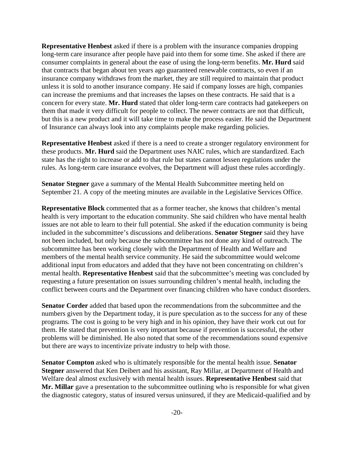**Representative Henbest** asked if there is a problem with the insurance companies dropping long-term care insurance after people have paid into them for some time. She asked if there are consumer complaints in general about the ease of using the long-term benefits. **Mr. Hurd** said that contracts that began about ten years ago guaranteed renewable contracts, so even if an insurance company withdraws from the market, they are still required to maintain that product unless it is sold to another insurance company. He said if company losses are high, companies can increase the premiums and that increases the lapses on these contracts. He said that is a concern for every state. **Mr. Hurd** stated that older long-term care contracts had gatekeepers on them that made it very difficult for people to collect. The newer contracts are not that difficult, but this is a new product and it will take time to make the process easier. He said the Department of Insurance can always look into any complaints people make regarding policies.

**Representative Henbest** asked if there is a need to create a stronger regulatory environment for these products. **Mr. Hurd** said the Department uses NAIC rules, which are standardized. Each state has the right to increase or add to that rule but states cannot lessen regulations under the rules. As long-term care insurance evolves, the Department will adjust these rules accordingly.

**Senator Stegner** gave a summary of the Mental Health Subcommittee meeting held on September 21. A copy of the meeting minutes are available in the Legislative Services Office.

**Representative Block** commented that as a former teacher, she knows that children's mental health is very important to the education community. She said children who have mental health issues are not able to learn to their full potential. She asked if the education community is being included in the subcommittee's discussions and deliberations. **Senator Stegner** said they have not been included, but only because the subcommittee has not done any kind of outreach. The subcommittee has been working closely with the Department of Health and Welfare and members of the mental health service community. He said the subcommittee would welcome additional input from educators and added that they have not been concentrating on children's mental health. **Representative Henbest** said that the subcommittee's meeting was concluded by requesting a future presentation on issues surrounding children's mental health, including the conflict between courts and the Department over financing children who have conduct disorders.

**Senator Corder** added that based upon the recommendations from the subcommittee and the numbers given by the Department today, it is pure speculation as to the success for any of these programs. The cost is going to be very high and in his opinion, they have their work cut out for them. He stated that prevention is very important because if prevention is successful, the other problems will be diminished. He also noted that some of the recommendations sound expensive but there are ways to incentivize private industry to help with those.

**Senator Compton** asked who is ultimately responsible for the mental health issue. **Senator Stegner** answered that Ken Deibert and his assistant, Ray Millar, at Department of Health and Welfare deal almost exclusively with mental health issues. **Representative Henbest** said that **Mr. Millar** gave a presentation to the subcommittee outlining who is responsible for what given the diagnostic category, status of insured versus uninsured, if they are Medicaid-qualified and by